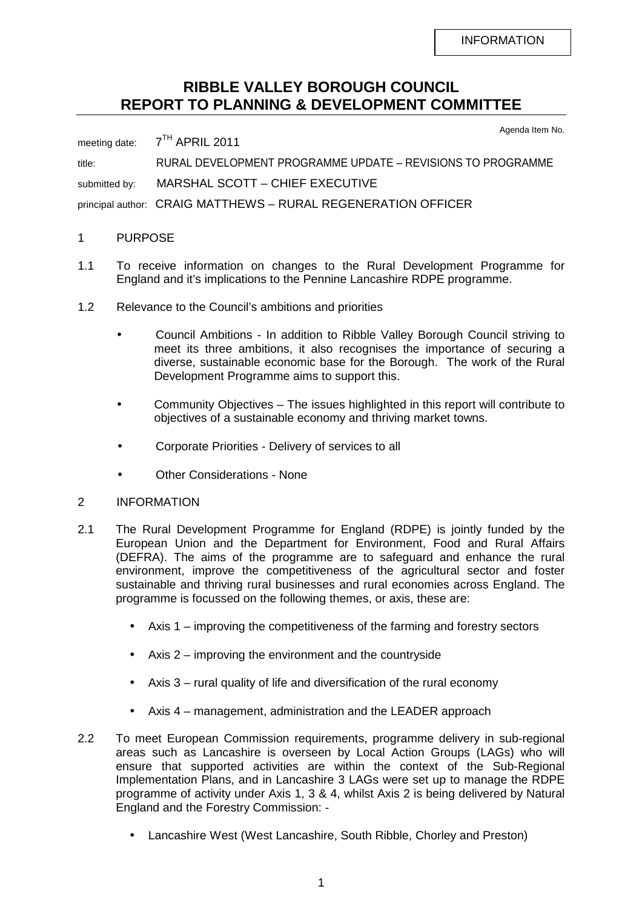## **RIBBLE VALLEY BOROUGH COUNCIL REPORT TO PLANNING & DEVELOPMENT COMMITTEE**

Agenda Item No.

meeting date: 7<sup>TH</sup> APRIL 2011 title: RURAL DEVELOPMENT PROGRAMME UPDATE – REVISIONS TO PROGRAMME submitted by: MARSHAL SCOTT - CHIEF EXECUTIVE principal author: CRAIG MATTHEWS – RURAL REGENERATION OFFICER

## 1 PURPOSE

- 1.1 To receive information on changes to the Rural Development Programme for England and it's implications to the Pennine Lancashire RDPE programme.
- 1.2 Relevance to the Council's ambitions and priorities
	- Council Ambitions In addition to Ribble Valley Borough Council striving to meet its three ambitions, it also recognises the importance of securing a diverse, sustainable economic base for the Borough. The work of the Rural Development Programme aims to support this.
	- Community Objectives The issues highlighted in this report will contribute to objectives of a sustainable economy and thriving market towns.
	- Corporate Priorities Delivery of services to all
	- Other Considerations None
- 2 INFORMATION
- 2.1 The Rural Development Programme for England (RDPE) is jointly funded by the European Union and the Department for Environment, Food and Rural Affairs (DEFRA). The aims of the programme are to safeguard and enhance the rural environment, improve the competitiveness of the agricultural sector and foster sustainable and thriving rural businesses and rural economies across England. The programme is focussed on the following themes, or axis, these are:
	- Axis 1 improving the competitiveness of the farming and forestry sectors
	- Axis 2 improving the environment and the countryside
	- Axis 3 rural quality of life and diversification of the rural economy
	- Axis 4 management, administration and the LEADER approach
- 2.2 To meet European Commission requirements, programme delivery in sub-regional areas such as Lancashire is overseen by Local Action Groups (LAGs) who will ensure that supported activities are within the context of the Sub-Regional Implementation Plans, and in Lancashire 3 LAGs were set up to manage the RDPE programme of activity under Axis 1, 3 & 4, whilst Axis 2 is being delivered by Natural England and the Forestry Commission: -
	- Lancashire West (West Lancashire, South Ribble, Chorley and Preston)